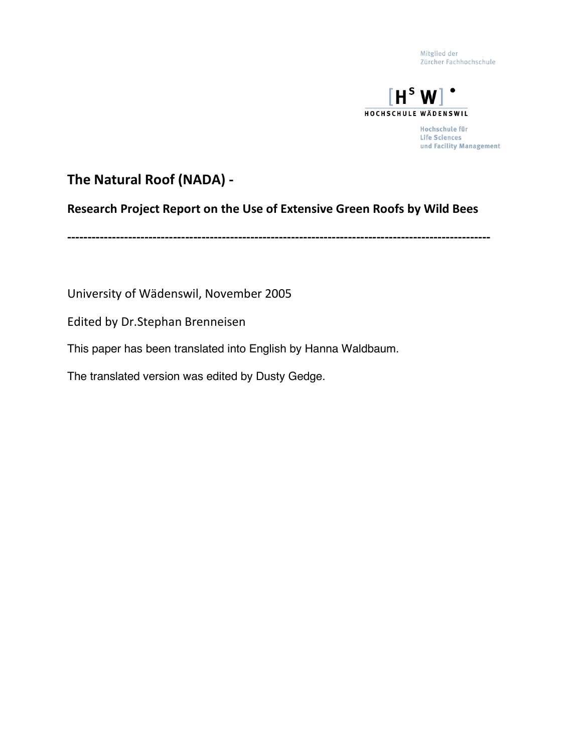Mitglied der Zürcher Fachhochschule



Hochschule für **Life Sciences** und Facility Management

### **The
Natural
Roof
(NADA)
‐**

#### **Research
Project
Report
on
the
Use of
Extensive
Green
Roofs
by
Wild
Bees**

**‐‐‐‐‐‐‐‐‐‐‐‐‐‐‐‐‐‐‐‐‐‐‐‐‐‐‐‐‐‐‐‐‐‐‐‐‐‐‐‐‐‐‐‐‐‐‐‐‐‐‐‐‐‐‐‐‐‐‐‐‐‐‐‐‐‐‐‐‐‐‐‐‐‐‐‐‐‐‐‐‐‐‐‐‐‐‐‐‐‐‐‐‐‐‐‐‐‐‐‐‐‐‐‐**

University
of
Wädenswil,
November
2005

Edited
by
Dr.Stephan
Brenneisen

This paper has been translated into English by Hanna Waldbaum.

The translated version was edited by Dusty Gedge.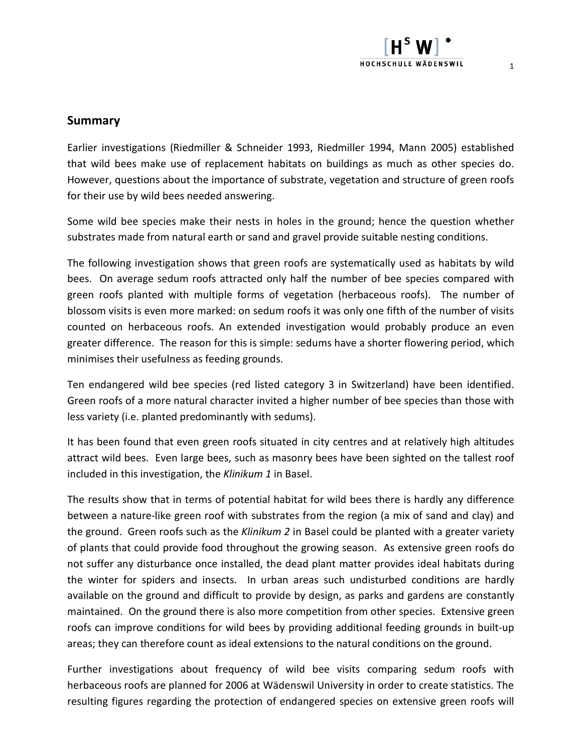#### **Summary**

Earlier investigations (Riedmiller & Schneider 1993, Riedmiller 1994, Mann 2005) established that wild bees make use of replacement habitats on buildings as much as other species do. However,
questions about the importance of substrate,
vegetation and structure of green roofs for their use by wild bees needed answering.

Some wild bee species make their nests in holes in the ground; hence the question whether substrates made from natural earth or sand and gravel provide suitable nesting conditions.

The following investigation shows that green roofs are systematically used as habitats by wild bees. On average sedum roofs attracted only half the number of bee species compared with green roofs planted with multiple forms of vegetation (herbaceous roofs). The number of blossom visits is even more marked: on sedum roofs it was only one fifth of the number of visits counted on herbaceous roofs. An extended investigation would probably produce an even greater difference. The reason for this is simple: sedums have a shorter flowering period,
which minimises their usefulness as feeding grounds.

Ten endangered wild bee species (red listed category 3 in Switzerland) have been identified. Green roofs of a more natural character invited a higher number of bee species than those with less variety (i.e. planted predominantly with sedums).

It has been found that even green roofs situated in city centres and at relatively high altitudes attract wild bees. Even large bees,
such as masonry bees have been sighted on the tallest roof included in this investigation,
the *Klinikum 1* in Basel.

The results show that in terms of potential habitat for wild bees there is hardly any difference between a nature‐like green roof with substrates from the region (a mix of sand and clay) and the ground. Green roofs such as the *Klinikum 2* in Basel could be planted with a greater variety of plants that could provide food throughout the growing season. As extensive green roofs do not suffer any disturbance once installed,
the dead plant matter provides ideal habitats during the winter for spiders and insects. In urban areas such undisturbed conditions are hardly available on the ground and difficult to provide by design,
as parks and gardens are constantly maintained. On the ground there is also more competition from other species. Extensive green roofs can improve conditions for wild bees by providing additional feeding grounds in built‐up areas; they can therefore count as ideal extensions to the natural conditions on the ground.

Further investigations about frequency of wild bee visits comparing sedum roofs with herbaceous roofs are planned for 2006 at Wädenswil University in order to create statistics. The resulting figures regarding the protection of endangered species on extensive green roofs will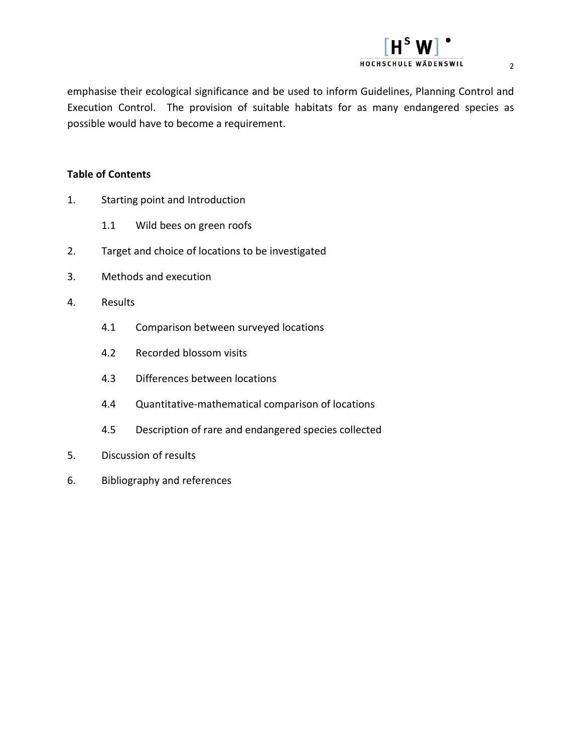

2

#### **Table of Contents**

- 1. Starting point and Introduction
	- 1.1 Wild bees on green roofs
- 2. Target and choice of locations to be investigated
- 3. Methods and execution
- 4. Results
	- 4.1 Comparison between surveyed locations
	- 4.2 Recorded blossom visits
	- 4.3 Differences between locations
	- 4.4 Quantitative‐mathematical comparison of locations
	- 4.5 Description of rare and endangered species collected
- 5. Discussion of results
- 6. Bibliography and references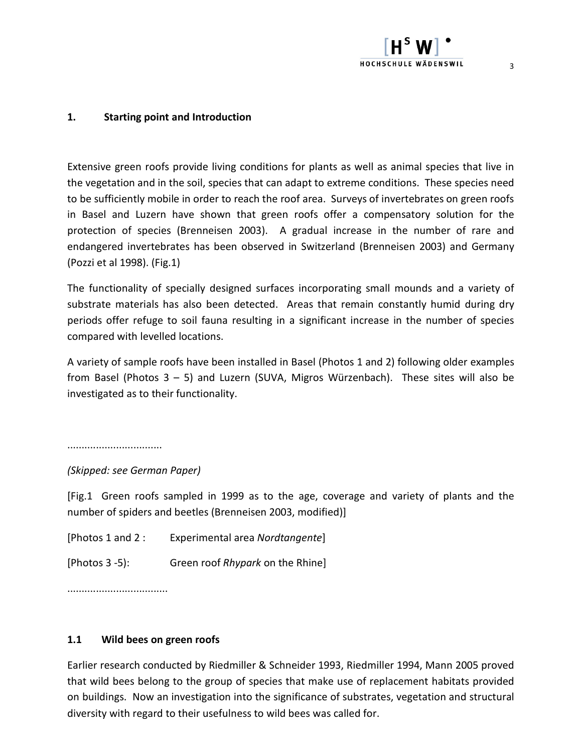#### **1. Starting point and Introduction**

Extensive green roofs provide living conditions for plants as well as animal species that live in the vegetation and in the soil, species that can adapt to extreme conditions. These species need to be sufficiently mobile in order to reach the roof area. Surveys of invertebrates on green roofs in Basel and Luzern have shown that green roofs offer a compensatory solution for the protection of species (Brenneisen 2003). A gradual increase in the number of rare and endangered invertebrates has been observed in Switzerland (Brenneisen 2003) and Germany (Pozzi et al 1998). (Fig.1)

The functionality of specially designed surfaces incorporating small mounds and a variety of substrate materials has also been detected. Areas that remain constantly humid during dry periods offer refuge to soil fauna resulting in a significant increase in the number of species compared with levelled locations.

A variety of sample roofs have been installed in Basel (Photos 1 and 2) following older examples from Basel (Photos 3 – 5) and Luzern (SUVA, Migros Würzenbach). These sites will also be investigated as to their functionality.

.................................

*(Skipped: see German Paper)*

[Fig.1 Green roofs sampled in 1999 as to the age, coverage and variety of plants and the number of spiders and beetles (Brenneisen 2003,
modified)]

| [Photos 1 and 2 : | Experimental area Nordtangente]  |
|-------------------|----------------------------------|
| [Photos 3 -5):    | Green roof Rhypark on the Rhine] |

...................................

#### **1.1 Wild bees on green roofs**

Earlier research conducted by Riedmiller & Schneider 1993,
Riedmiller 1994,
Mann 2005 proved that wild bees belong to the group of species that make use of replacement habitats provided on buildings. Now an investigation into the significance of substrates,
vegetation and structural diversity with regard to their usefulness to wild bees was called for.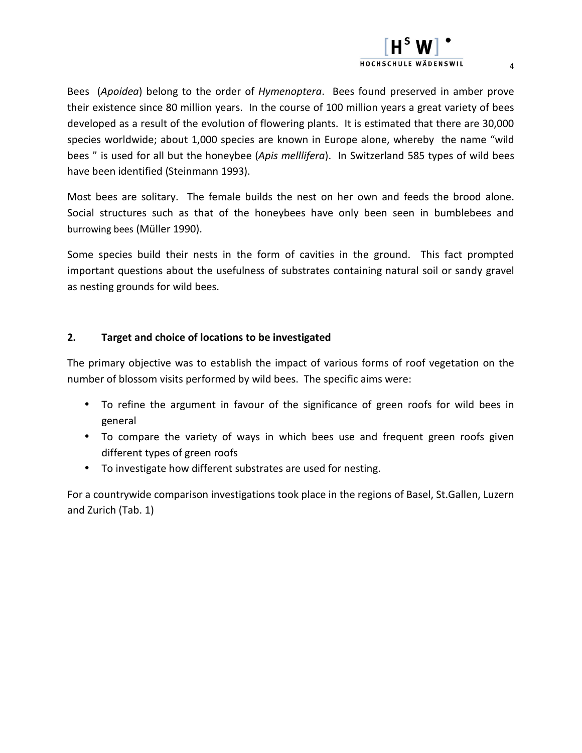# HOCHSCHULE WÄDENSWIL

Bees (*Apoidea*) belong to the order of *Hymenoptera*. Bees found preserved in amber prove their existence since 80 million years. In the course of 100 million years a great variety of bees developed as a result of the evolution of flowering plants. It is estimated that there are 30,000 species worldwide; about 1,000 species are known in Europe alone,
whereby the name "wild bees " is used for all but the honeybee (*Apis melllifera*). In Switzerland 585 types of wild bees have been identified (Steinmann 1993).

Most bees are solitary. The female builds the nest on her own and feeds the brood alone. Social structures such as that of the honeybees have only been seen in bumblebees and burrowing bees (Müller 1990).

Some species build their nests in the form of cavities in the ground. This fact prompted important questions about the usefulness of substrates containing natural soil or sandy gravel as nesting grounds for wild bees.

#### **2. Target and choice of locations to be investigated**

The primary objective was to establish the impact of various forms of roof vegetation on the number of blossom visits performed by wild bees. The specific aims were:

- To refine the argument in favour of the significance of green roofs for wild bees in general
- To compare the variety of ways in which bees use and frequent green roofs given different types of green roofs
- To investigate how different substrates are used for nesting.

For a countrywide comparison investigations took place in the regions of Basel,
St.Gallen,
Luzern and Zurich (Tab. 1)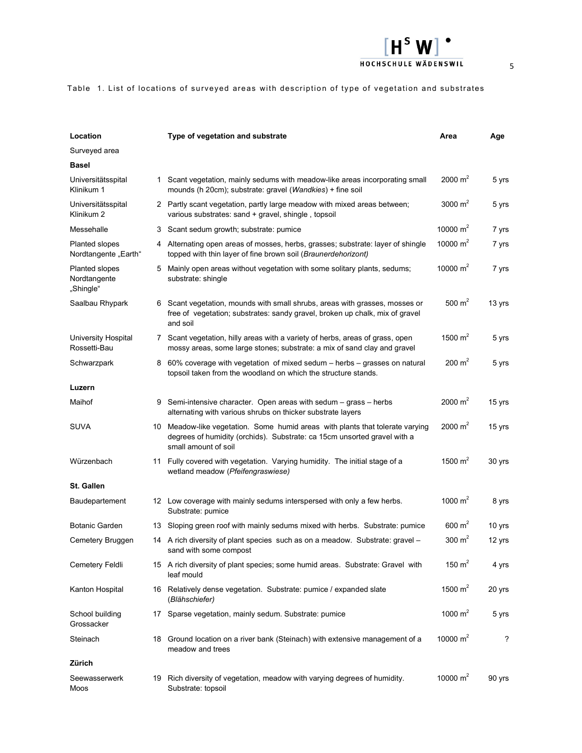| Location                                      |    | Type of vegetation and substrate                                                                                                                                                  | Area                 | Age    |
|-----------------------------------------------|----|-----------------------------------------------------------------------------------------------------------------------------------------------------------------------------------|----------------------|--------|
| Surveyed area                                 |    |                                                                                                                                                                                   |                      |        |
| <b>Basel</b>                                  |    |                                                                                                                                                                                   |                      |        |
| Universitätsspital<br>Klinikum 1              |    | 1 Scant vegetation, mainly sedums with meadow-like areas incorporating small<br>mounds (h 20cm); substrate: gravel (Wandkies) + fine soil                                         | 2000 $m2$            | 5 yrs  |
| Universitätsspital<br>Klinikum 2              |    | 2 Partly scant vegetation, partly large meadow with mixed areas between;<br>various substrates: sand + gravel, shingle, topsoil                                                   | 3000 $m2$            | 5 yrs  |
| Messehalle                                    |    | 3 Scant sedum growth; substrate: pumice                                                                                                                                           | 10000 $m2$           | 7 yrs  |
| <b>Planted slopes</b><br>Nordtangente "Earth" | 4  | Alternating open areas of mosses, herbs, grasses; substrate: layer of shingle<br>topped with thin layer of fine brown soil (Braunerdehorizont)                                    | 10000 $m2$           | 7 yrs  |
| Planted slopes<br>Nordtangente<br>"Shingle"   |    | 5 Mainly open areas without vegetation with some solitary plants, sedums;<br>substrate: shingle                                                                                   | 10000 $m2$           | 7 yrs  |
| Saalbau Rhypark                               |    | Scant vegetation, mounds with small shrubs, areas with grasses, mosses or<br>free of vegetation; substrates: sandy gravel, broken up chalk, mix of gravel<br>and soil             | 500 $m2$             | 13 yrs |
| University Hospital<br>Rossetti-Bau           |    | 7 Scant vegetation, hilly areas with a variety of herbs, areas of grass, open<br>mossy areas, some large stones; substrate: a mix of sand clay and gravel                         | 1500 $m2$            | 5 yrs  |
| Schwarzpark                                   |    | 8 60% coverage with vegetation of mixed sedum – herbs – grasses on natural<br>topsoil taken from the woodland on which the structure stands.                                      | $200 \text{ m}^2$    | 5 yrs  |
| Luzern                                        |    |                                                                                                                                                                                   |                      |        |
| Maihof                                        | 9  | Semi-intensive character. Open areas with sedum – grass – herbs<br>alternating with various shrubs on thicker substrate layers                                                    | $2000 \; \text{m}^2$ | 15 yrs |
| <b>SUVA</b>                                   |    | 10 Meadow-like vegetation. Some humid areas with plants that tolerate varying<br>degrees of humidity (orchids). Substrate: ca 15cm unsorted gravel with a<br>small amount of soil | $2000 \; \text{m}^2$ | 15 yrs |
| Würzenbach                                    |    | 11 Fully covered with vegetation. Varying humidity. The initial stage of a<br>wetland meadow (Pfeifengraswiese)                                                                   | 1500 $m2$            | 30 yrs |
| <b>St. Gallen</b>                             |    |                                                                                                                                                                                   |                      |        |
| Baudepartement                                |    | 12 Low coverage with mainly sedums interspersed with only a few herbs.<br>Substrate: pumice                                                                                       | 1000 $m2$            | 8 yrs  |
| <b>Botanic Garden</b>                         |    | 13 Sloping green roof with mainly sedums mixed with herbs. Substrate: pumice                                                                                                      | 600 $m2$             | 10 yrs |
| Cemetery Bruggen                              | 14 | A rich diversity of plant species such as on a meadow. Substrate: gravel –<br>sand with some compost                                                                              | 300 $m2$             | 12 yrs |
| Cemetery Feldli                               |    | 15 A rich diversity of plant species; some humid areas. Substrate: Gravel with<br>leaf mould                                                                                      | 150 $m2$             | 4 yrs  |
| Kanton Hospital                               |    | 16 Relatively dense vegetation. Substrate: pumice / expanded slate<br>(Blähschiefer)                                                                                              | 1500 $m2$            | 20 yrs |
| School building<br>Grossacker                 |    | 17 Sparse vegetation, mainly sedum. Substrate: pumice                                                                                                                             | 1000 $m2$            | 5 yrs  |
| Steinach                                      |    | 18 Ground location on a river bank (Steinach) with extensive management of a<br>meadow and trees                                                                                  | 10000 $m2$           | ?      |
| Zürich                                        |    |                                                                                                                                                                                   |                      |        |
| Seewasserwerk<br>Moos                         |    | 19 Rich diversity of vegetation, meadow with varying degrees of humidity.<br>Substrate: topsoil                                                                                   | 10000 $m2$           | 90 yrs |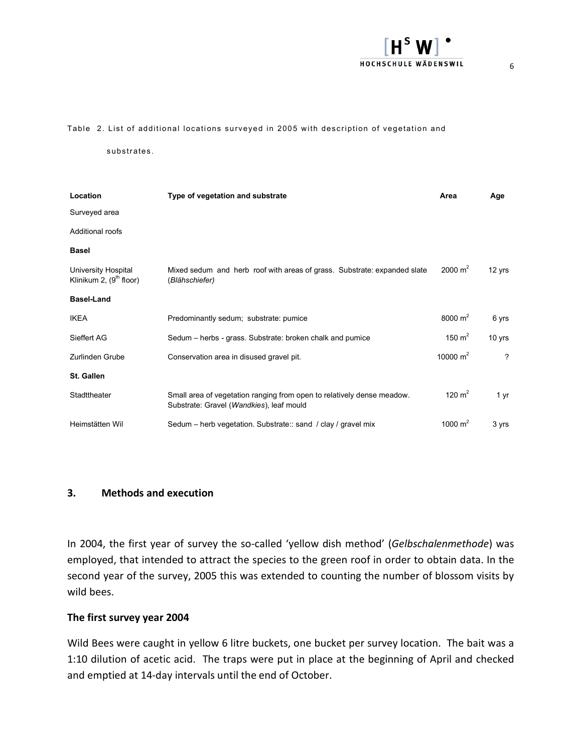

#### Table 2. List of additional locations surveyed in 2005 with description of vegetation and

substrates.

| Location                                         | Type of vegetation and substrate                                                                                   | Area               | Age                        |
|--------------------------------------------------|--------------------------------------------------------------------------------------------------------------------|--------------------|----------------------------|
| Surveyed area                                    |                                                                                                                    |                    |                            |
| Additional roofs                                 |                                                                                                                    |                    |                            |
| <b>Basel</b>                                     |                                                                                                                    |                    |                            |
| University Hospital<br>Klinikum 2, $(9th$ floor) | Mixed sedum and herb roof with areas of grass. Substrate: expanded slate<br>(Blähschiefer)                         | $2000 \text{ m}^2$ | 12 yrs                     |
| <b>Basel-Land</b>                                |                                                                                                                    |                    |                            |
| <b>IKEA</b>                                      | Predominantly sedum; substrate: pumice                                                                             | 8000 $m2$          | 6 yrs                      |
| Sieffert AG                                      | Sedum – herbs - grass. Substrate: broken chalk and pumice                                                          | 150 $m2$           | 10 yrs                     |
| Zurlinden Grube                                  | Conservation area in disused gravel pit.                                                                           | 10000 $m2$         | $\boldsymbol{\mathcal{P}}$ |
| St. Gallen                                       |                                                                                                                    |                    |                            |
| Stadttheater                                     | Small area of vegetation ranging from open to relatively dense meadow.<br>Substrate: Gravel (Wandkies), leaf mould | 120 $m2$           | 1 yr                       |
| Heimstätten Wil                                  | Sedum – herb vegetation. Substrate:: sand / clay / gravel mix                                                      | 1000 $m^2$         | 3 yrs                      |

#### **3. Methods and execution**

In 2004, the first year of survey the so-called 'yellow dish method' (Gelbschalenmethode) was employed,
that intended to attract the species to the green roof in order to obtain data. In the second year of the survey, 2005 this was extended to counting the number of blossom visits by wild bees.

#### **The first survey year 2004**

Wild Bees were caught in yellow 6 litre buckets,
one bucket per survey location. The bait was a 1:10 dilution of acetic acid. The traps were put in place at the beginning of April and checked and emptied at 14‐day intervals until the end of October.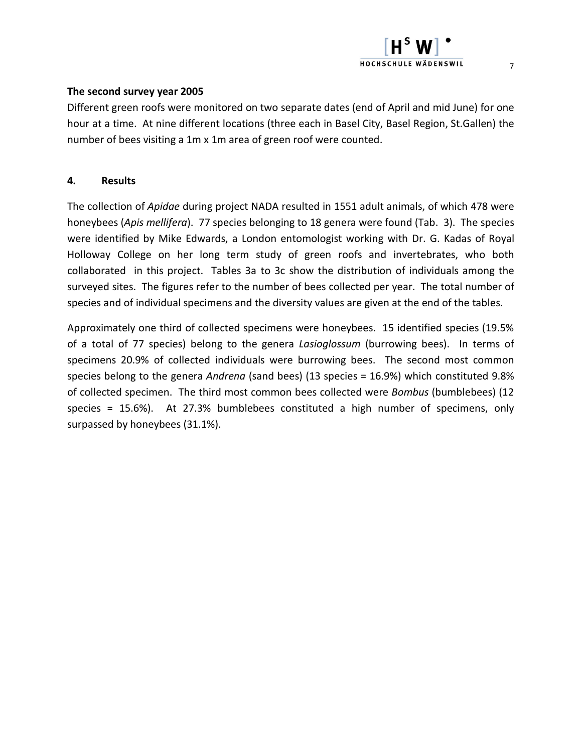#### **The second survey year 2005**

Different green roofs were monitored on two separate dates (end of April and mid June) for one hour at a time. At nine different locations (three each in Basel City,
Basel Region,
St.Gallen) the number of bees visiting a 1m x
1m area of green roof were counted.

#### **4. Results**

The collection of *Apidae* during project NADA resulted in 1551 adult animals,
of which 478 were honeybees (*Apis mellifera*). 77 species belonging to 18 genera were found (Tab. 3). The species were identified by Mike Edwards, a London entomologist working with Dr. G. Kadas of Royal Holloway College on her long term study of green roofs and invertebrates, who both collaborated in this project. Tables 3a to 3c show the distribution of individuals among the surveyed sites. The figures refer to the number of bees collected per year. The total number of species and of individual specimens and the diversity values are given at the end of the tables.

Approximately one third of collected specimens were honeybees. 15 identified species (19.5% of a total of 77 species) belong to the genera *Lasioglossum* (burrowing bees). In terms of specimens 20.9% of collected individuals were burrowing bees. The second most common species belong to the genera *Andrena* (sand bees) (13 species = 16.9%) which constituted 9.8% of collected specimen. The third most common bees collected were *Bombus* (bumblebees) (12 species = 15.6%). At 27.3% bumblebees constituted a high number of specimens, only surpassed by honeybees (31.1%).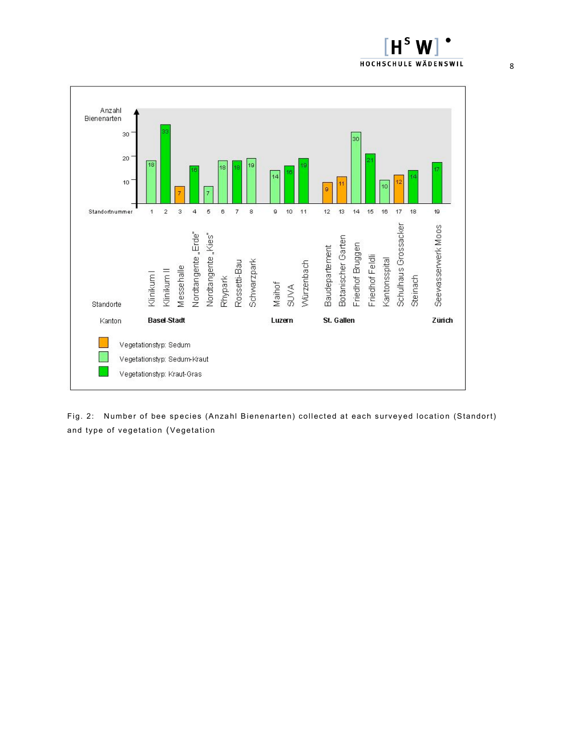



Fig. 2: Number of bee species (Anzahl Bienenarten) collected at each surveyed location (Standort) and type of vegetation (Vegetation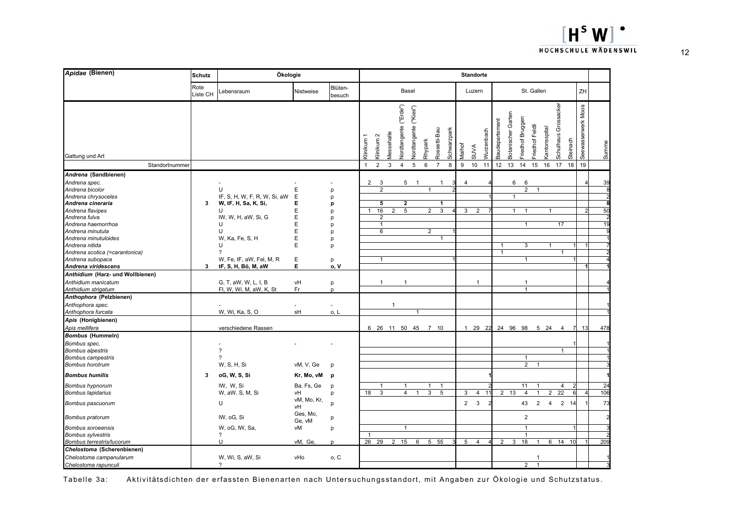| Apidae (Bienen)                                                                                                                                                                                                                                                                                                                                                                                                                             | <b>Schutz</b>    | Ökologie<br><b>Standorte</b>                                                                                                                                                                                                       |                                                                       |                                                                                   |                   |                                                                                                       |                                |                                    |                              |                                       |                                        |             |                     |                                         |            |                   |                                   |                                                                                                            |                                                    |                      |                              |                       |                            |
|---------------------------------------------------------------------------------------------------------------------------------------------------------------------------------------------------------------------------------------------------------------------------------------------------------------------------------------------------------------------------------------------------------------------------------------------|------------------|------------------------------------------------------------------------------------------------------------------------------------------------------------------------------------------------------------------------------------|-----------------------------------------------------------------------|-----------------------------------------------------------------------------------|-------------------|-------------------------------------------------------------------------------------------------------|--------------------------------|------------------------------------|------------------------------|---------------------------------------|----------------------------------------|-------------|---------------------|-----------------------------------------|------------|-------------------|-----------------------------------|------------------------------------------------------------------------------------------------------------|----------------------------------------------------|----------------------|------------------------------|-----------------------|----------------------------|
|                                                                                                                                                                                                                                                                                                                                                                                                                                             | Rote<br>Liste CH | _ebensraum                                                                                                                                                                                                                         | Nistweise                                                             | Blüten-<br>besuch                                                                 |                   |                                                                                                       |                                | Basel                              |                              |                                       |                                        |             |                     | Luzern                                  |            |                   |                                   | St. Gallen                                                                                                 |                                                    |                      |                              | ZH                    |                            |
| Gattung und Art                                                                                                                                                                                                                                                                                                                                                                                                                             |                  |                                                                                                                                                                                                                                    |                                                                       |                                                                                   | Klinikum          | $\sim$<br>Klinikum                                                                                    | <b>Vessehalle</b>              | <b>Jordtangente</b> ("Erde")       | <b>Vordtangente</b> ("Kies") | Rhypark                               | Rossetti-Bau                           | Schwarzpark | Maihof              | <b>SUVA</b>                             | Vurzenbach | Baudepartement    | Botanischer Garten                | Friedhof Bruggen<br>Friedhof Feldli                                                                        | antonsspital                                       | Schulhaus Grossacker | Steinach                     | Moos<br>Seewasserwerk | Summe                      |
| Standortnummer                                                                                                                                                                                                                                                                                                                                                                                                                              |                  |                                                                                                                                                                                                                                    |                                                                       |                                                                                   | $\mathbf{1}$      | $\overline{2}$                                                                                        | 3                              | $\overline{4}$                     | $\overline{5}$               | 6                                     | $\overline{7}$                         | 8           | 9                   | 10                                      | 11         | 12                | 13                                | 14                                                                                                         | 15<br>16                                           | 17                   | 18                           | 19                    |                            |
| Andrena (Sandbienen)<br>Andrena spec.<br>Andrena bicolor<br>Andrena chrysoceles<br>Andrena cineraria<br>Andrena flavipes<br>Andrena fulva<br>Andrena haemorrhoa<br>Andrena minutula<br>Andrena minutuloides<br>Andrena nitida<br>Andrena scotica (=carantonica)<br>Andrena subopaca<br>Andrena viridescens<br>Anthidium (Harz- und Wollbienen)<br>Anthidium manicatum<br>Anthidium strigatum<br>Anthophora (Pelzbienen)<br>Anthophora spec. | 3<br>3           | U<br>tF, S, H, W, F, R, W, Si, aW<br>W, tF, H, Sa, K, Si,<br>U<br>IW, W, H, aW, Si, G<br>U<br>U<br>W, Ka, Fe, S, H<br>U<br>?<br>W, Fe, tF, aW, Fel, M, R<br>tF, S, H, Bö, M, aW<br>G, T, aW, W, L, I, B<br>FI, W, Wi, M, aW, K, St | Е<br>Е<br>Е<br>Е<br>E<br>E<br>Е<br>E<br>E<br>Ε<br>Е<br>vH<br>Fr<br>÷, | p<br>p<br>p<br>p<br>p<br>p<br>D<br>p<br>p<br>p<br>o.V<br>p<br>D<br>$\overline{a}$ | 2<br>$\mathbf{1}$ | 3<br>$\overline{2}$<br>5<br>16<br>$\overline{2}$<br>$\mathbf{1}$<br>6<br>$\mathbf{1}$<br>$\mathbf{1}$ | $\overline{2}$<br>$\mathbf{1}$ | 5<br>$\mathbf 2$<br>$\overline{5}$ |                              | 1<br>$\overline{a}$<br>$\overline{2}$ | $\mathbf{1}$<br>1<br>3<br>$\mathbf{1}$ |             | $\overline{4}$<br>3 | $\overline{\mathbf{c}}$<br>$\mathbf{1}$ |            | 1<br>$\mathbf{1}$ | 6<br>$\mathbf{1}$<br>$\mathbf{1}$ | 6<br>$\overline{2}$<br>$\mathbf{1}$<br>$\mathbf{1}$<br>3<br>$\mathbf{1}$<br>$\mathbf{1}$<br>$\overline{1}$ | $\mathbf{1}$                                       | $\mathbf{1}$<br>1    | 17<br>$\mathbf{1}$           |                       | 39<br>50<br>1 <sup>c</sup> |
| Anthophora furcata                                                                                                                                                                                                                                                                                                                                                                                                                          |                  | W, Wi, Ka, S, O                                                                                                                                                                                                                    | sH                                                                    | 0. L                                                                              |                   |                                                                                                       |                                |                                    | $\mathbf{1}$                 |                                       |                                        |             |                     |                                         |            |                   |                                   |                                                                                                            |                                                    |                      |                              |                       |                            |
| Apis (Honigbienen)<br>Apis mellifera<br><b>Bombus (Hummeln)</b>                                                                                                                                                                                                                                                                                                                                                                             |                  | verschiedene Rassen                                                                                                                                                                                                                |                                                                       |                                                                                   |                   |                                                                                                       |                                |                                    |                              | 6 26 11 50 45 7 10                    |                                        |             |                     | 1 29 22                                 |            | 24 96 98          |                                   |                                                                                                            | 5 24                                               |                      | 4<br>7                       | 13                    | 478                        |
| Bombus spec.<br><b>Bombus alpestris</b><br><b>Bombus campestris</b><br><b>Bombus horotrum</b>                                                                                                                                                                                                                                                                                                                                               |                  | $\overline{\phantom{a}}$<br>$\overline{\phantom{a}}$<br>W, S, H, Si                                                                                                                                                                | vM, V, Ge                                                             | p                                                                                 |                   |                                                                                                       |                                |                                    |                              |                                       |                                        |             |                     |                                         |            |                   |                                   | $\mathbf{1}$<br>$\overline{2}$                                                                             | $\overline{1}$                                     |                      | $\mathbf{1}$                 |                       |                            |
| <b>Bombus humilis</b>                                                                                                                                                                                                                                                                                                                                                                                                                       | 3                | oG, W, S, Si                                                                                                                                                                                                                       | Kr, Mo, vM                                                            | p                                                                                 |                   |                                                                                                       |                                |                                    |                              |                                       |                                        |             |                     |                                         |            |                   |                                   |                                                                                                            |                                                    |                      |                              |                       |                            |
| Bombus hypnorum<br><b>Bombus lapidarius</b><br>Bombus pascuorum                                                                                                                                                                                                                                                                                                                                                                             |                  | IW, W, Si<br>W, aW, S, M, Si<br>U                                                                                                                                                                                                  | Ba, Fs, Ge<br>νH<br>vM, Mo, Kr,                                       | p<br>p<br>D                                                                       | 18                | $\mathbf 1$<br>3                                                                                      |                                | $\mathbf{1}$<br>$\overline{4}$     |                              | $\mathbf{1}$<br>$\overline{3}$        | $\mathbf{1}$<br>$\overline{5}$         |             | 3<br>$2^{\circ}$    | 4<br>3                                  | 11         | 2 13              |                                   | 11<br>$\overline{4}$<br>43                                                                                 | $\overline{1}$<br>$\overline{1}$<br>$\overline{2}$ | $\overline{2}$<br>4  | 4<br>$\overline{22}$<br>2 14 |                       | 24<br>106<br>73            |
|                                                                                                                                                                                                                                                                                                                                                                                                                                             |                  |                                                                                                                                                                                                                                    | νH<br>Ges, Mo,                                                        |                                                                                   |                   |                                                                                                       |                                |                                    |                              |                                       |                                        |             |                     |                                         |            |                   |                                   |                                                                                                            |                                                    |                      |                              |                       |                            |
| Bombus pratorum<br><b>Bombus soroeensis</b><br><b>Bombus sylvestris</b><br>Bombus terrestris/lucorum                                                                                                                                                                                                                                                                                                                                        |                  | IW, oG, Si<br>W, oG, IW, Sa,<br>?<br>U                                                                                                                                                                                             | Ge, vM<br>νM<br>vM, Ge,                                               | p<br>p<br>p                                                                       | 1<br>26           | 29                                                                                                    | $\overline{2}$                 | $\overline{1}$<br>15               | 6                            | $5\phantom{.0}$                       | 55                                     |             | 5                   | 4                                       |            | $\overline{2}$    | 3                                 | $\overline{2}$<br>$\mathbf{1}$<br>$\mathbf 1$<br>18                                                        | $\mathbf{1}$                                       | 6 14                 | 10                           |                       | 209                        |
| Chelostoma (Scherenbienen)                                                                                                                                                                                                                                                                                                                                                                                                                  |                  |                                                                                                                                                                                                                                    |                                                                       |                                                                                   |                   |                                                                                                       |                                |                                    |                              |                                       |                                        |             |                     |                                         |            |                   |                                   |                                                                                                            |                                                    |                      |                              |                       |                            |
| Chelostoma campanularum<br>Chelostoma rapunculi                                                                                                                                                                                                                                                                                                                                                                                             |                  | W, Wi, S, aW, Si<br>?                                                                                                                                                                                                              | vHo                                                                   | o, C                                                                              |                   |                                                                                                       |                                |                                    |                              |                                       |                                        |             |                     |                                         |            |                   |                                   | 2                                                                                                          | -1<br>$\overline{1}$                               |                      |                              |                       |                            |

Tabelle 3a: Aktivitätsdichten der erfassten Bienenarten nach Untersuchungsstandort, mit Angaben zur Ökologie und Schutzstatus.

 $[H<sup>s</sup> W$ 

HOCHSCHULE WÄDENSWIL

 $\overline{\phantom{a}}$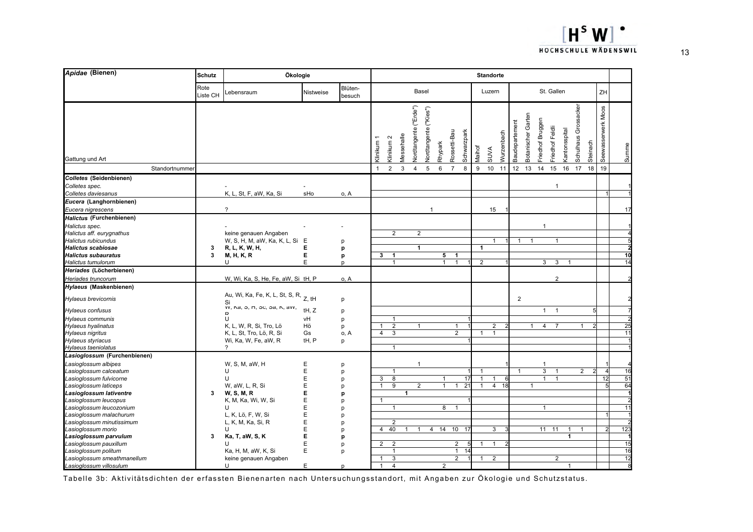

| Apidae (Bienen)                                  | <b>Schutz</b>    | Ökologie                                    |           |                   |                |                       | <b>Standorte</b> |                         |                          |                 |                             |                |                |            |                |                    |                  |                 |                                   |                      |          |                    |       |  |  |
|--------------------------------------------------|------------------|---------------------------------------------|-----------|-------------------|----------------|-----------------------|------------------|-------------------------|--------------------------|-----------------|-----------------------------|----------------|----------------|------------|----------------|--------------------|------------------|-----------------|-----------------------------------|----------------------|----------|--------------------|-------|--|--|
|                                                  | Rote<br>Liste CH | _ebensraum                                  | Nistweise | Blüten-<br>besuch |                |                       |                  | Basel                   |                          |                 |                             |                | Luzern         |            |                |                    |                  | St. Gallen      |                                   |                      |          | ZH                 |       |  |  |
| Gattung und Art                                  |                  |                                             |           |                   | Klinikum 1     | Klinikum <sub>2</sub> | Messehalle       | vordtangente ("Erde")   | ("Kies")<br>Vordtangente | Rhypark         | Rossetti-Bau<br>Schwarzpark | Maihof         | <b>SUVA</b>    | Nurzenbach | Baudepartement | Botanischer Garten | Friedhof Bruggen | Friedhof Feldli | <b><i><u>antonsspital</u></i></b> | Schulhaus Grossacker | Steinach | Seewasserwerk Moos | Summe |  |  |
| Standortnummer                                   |                  |                                             |           |                   | $\mathbf{1}$   | $\overline{2}$        | $\mathbf{3}$     | $\overline{\mathbf{4}}$ | 5                        | 6               | $\overline{7}$<br>8         | 9              | 10             | 11         | 12             | 13                 | 14               | 15              | 16                                | 17                   | 18       | 19                 |       |  |  |
| Colletes (Seidenbienen)                          |                  |                                             |           |                   |                |                       |                  |                         |                          |                 |                             |                |                |            |                |                    |                  |                 |                                   |                      |          |                    |       |  |  |
| Colletes spec.<br>Colletes daviesanus            |                  | K, L, St, F, aW, Ka, Si                     | sHo       | o, A              |                |                       |                  |                         |                          |                 |                             |                |                |            |                |                    |                  |                 |                                   |                      |          |                    |       |  |  |
| Eucera (Langhornbienen)                          |                  |                                             |           |                   |                |                       |                  |                         |                          |                 |                             |                |                |            |                |                    |                  |                 |                                   |                      |          |                    |       |  |  |
| Eucera nigrescens                                |                  | $\overline{?}$                              |           |                   |                |                       |                  |                         | 1                        |                 |                             |                | 15             |            |                |                    |                  |                 |                                   |                      |          |                    | 17    |  |  |
| Halictus (Furchenbienen)                         |                  |                                             |           |                   |                |                       |                  |                         |                          |                 |                             |                |                |            |                |                    |                  |                 |                                   |                      |          |                    |       |  |  |
| Halictus spec.                                   |                  |                                             |           |                   |                |                       |                  |                         |                          |                 |                             |                |                |            |                |                    | $\mathbf{1}$     |                 |                                   |                      |          |                    |       |  |  |
| Halictus aff. eurygnathus                        |                  | keine genauen Angaben                       |           |                   |                | $\overline{2}$        |                  | $\overline{2}$          |                          |                 |                             |                |                |            |                |                    |                  |                 |                                   |                      |          |                    |       |  |  |
| Halictus rubicundus                              |                  | W, S, H, M, aW, Ka, K, L, Si                | E         | р                 |                |                       |                  |                         |                          |                 |                             |                | 1              |            | 1              |                    |                  | $\overline{1}$  |                                   |                      |          |                    |       |  |  |
| <b>Halictus scabiosae</b>                        | 3                | R, L, K, W, H,                              | Е         | p                 |                |                       |                  | $\overline{1}$          |                          |                 |                             | $\mathbf{1}$   |                |            |                |                    |                  |                 |                                   |                      |          |                    |       |  |  |
| <b>Halictus subauratus</b>                       | 3                | <b>M, H, K, R</b>                           | E         | p                 | 3              | $\overline{1}$        |                  |                         |                          | $5\overline{5}$ | $\overline{1}$              |                |                |            |                |                    |                  |                 |                                   |                      |          |                    | 10    |  |  |
| Halictus tumulorum                               |                  | U                                           | E         | D                 |                | $\mathbf{1}$          |                  |                         |                          | $\mathbf{1}$    | $\mathbf{1}$                | $\overline{2}$ |                |            |                |                    | 3                | 3               | $\mathbf{1}$                      |                      |          |                    | 14    |  |  |
| Heriades (Löcherbienen)                          |                  |                                             |           |                   |                |                       |                  |                         |                          |                 |                             |                |                |            |                |                    |                  |                 |                                   |                      |          |                    |       |  |  |
| Heriades truncorum                               |                  | W, Wi, Ka, S, He, Fe, aW, Si tH, P          |           | o, A              |                |                       |                  |                         |                          |                 |                             |                |                |            |                |                    |                  | $\overline{2}$  |                                   |                      |          |                    |       |  |  |
| Hylaeus (Maskenbienen)                           |                  |                                             |           |                   |                |                       |                  |                         |                          |                 |                             |                |                |            |                |                    |                  |                 |                                   |                      |          |                    |       |  |  |
| Hylaeus brevicornis                              |                  | Au, Wi, Ka, Fe, K, L, St, S, R, Z, tH<br>Si |           | p                 |                |                       |                  |                         |                          |                 |                             |                |                |            | $\overline{2}$ |                    |                  |                 |                                   |                      |          |                    |       |  |  |
| Hylaeus confusus                                 |                  | VV, Nd, O, H, OC, Od, N, dvv,<br>Þ          | tH, Z     | p                 |                |                       |                  |                         |                          |                 |                             |                |                |            |                |                    | $\mathbf{1}$     | $\overline{1}$  |                                   |                      |          |                    |       |  |  |
| Hylaeus communis                                 |                  | U                                           | vH        | p                 |                | $\mathbf{1}$          |                  |                         |                          |                 |                             |                |                |            |                |                    |                  |                 |                                   |                      |          |                    |       |  |  |
| Hylaeus hyalinatus                               |                  | K, L, W, R, Si, Tro, Lö                     | Hö        | p                 | 1              | $\overline{2}$        |                  | $\mathbf{1}$            |                          |                 | $\mathbf{1}$                |                | $\overline{2}$ |            |                | $\mathbf{1}$       | $\overline{4}$   | $\overline{7}$  |                                   | $\mathbf{1}$         |          |                    | 25    |  |  |
| Hylaeus nigritus                                 |                  | K, L, St, Tro, Lö, R, Si                    | Gs        | o, A              | $\overline{4}$ | 3                     |                  |                         |                          |                 | $\overline{2}$              | $\mathbf{1}$   | $\mathbf{1}$   |            |                |                    |                  |                 |                                   |                      |          |                    | 11    |  |  |
| Hylaeus styriacus                                |                  | Wi, Ka, W, Fe, aW, R                        | tH, P     | p                 |                |                       |                  |                         |                          |                 |                             |                |                |            |                |                    |                  |                 |                                   |                      |          |                    |       |  |  |
| Hylaeus taeniolatus                              |                  | ?                                           |           |                   |                | $\mathbf{1}$          |                  |                         |                          |                 |                             |                |                |            |                |                    |                  |                 |                                   |                      |          |                    |       |  |  |
| Lasioglossum (Furchenbienen)                     |                  |                                             |           |                   |                |                       |                  |                         |                          |                 |                             |                |                |            |                |                    |                  |                 |                                   |                      |          |                    |       |  |  |
| Lasioglossum albipes                             |                  | W, S, M, aW, H                              | E         | p                 |                |                       |                  | $\mathbf{1}$            |                          |                 |                             |                |                |            |                |                    |                  |                 |                                   |                      |          |                    |       |  |  |
| Lasioglossum calceatum                           |                  | U                                           | E         | p                 |                | $\mathbf{1}$          |                  |                         |                          |                 |                             | $\overline{1}$ |                |            | $\overline{1}$ |                    | $\overline{3}$   | $\overline{1}$  |                                   | $\overline{2}$       |          |                    | 16    |  |  |
| Lasioglossum fulvicorne                          |                  | U                                           | E         | p                 | 3              | $\overline{8}$        |                  |                         |                          | 1               | 17                          |                | $\mathbf{1}$   |            |                |                    | $\mathbf{1}$     | $\overline{1}$  |                                   |                      |          | 12                 | 51    |  |  |
| Lasioglossum laticeps                            | $\mathbf{3}$     | W. aW, L, R, Si                             | E<br>E    | p                 | $\mathbf{1}$   | 9                     | $\mathbf{1}$     | $\overline{2}$          |                          | $\mathbf{1}$    | 21<br>$\mathbf{1}$          |                | $\overline{4}$ | 18         |                | $\mathbf{1}$       |                  |                 |                                   |                      |          |                    | 64    |  |  |
| Lasioglossum lativentre<br>Lasioglossum leucopus |                  | W, S, M, R<br>K, M, Ka, Wi, W, Si           | E         | p                 | $\overline{1}$ |                       |                  |                         |                          |                 |                             |                |                |            |                |                    |                  |                 |                                   |                      |          |                    |       |  |  |
| Lasioglossum leucozonium                         |                  | U                                           | E         | p<br>p            |                | 1                     |                  |                         |                          | 8               | $\mathbf{1}$                |                |                |            |                |                    | 1                |                 |                                   |                      |          |                    |       |  |  |
| Lasioglossum malachurum                          |                  | L, K, Lö, F, W, Si                          | E         | p                 |                |                       |                  |                         |                          |                 |                             |                |                |            |                |                    |                  |                 |                                   |                      |          |                    |       |  |  |
| Lasioglossum minutissimum                        |                  | L, K, M, Ka, Si, R                          | E         | p                 |                | $\overline{2}$        |                  |                         |                          |                 |                             |                |                |            |                |                    |                  |                 |                                   |                      |          |                    |       |  |  |
| Lasioglossum morio                               |                  | U                                           | E         | p                 | $\overline{4}$ | 40                    |                  |                         | $\overline{4}$           | 14              | 10<br>17                    |                | 3              |            |                |                    |                  | 11 11           | $\mathbf{1}$                      |                      |          |                    | 123   |  |  |
| Lasioglossum parvulum                            | 3                | Ka, T, aW, S, K                             | E         | p                 |                |                       |                  |                         |                          |                 |                             |                |                |            |                |                    |                  |                 | $\mathbf{1}$                      |                      |          |                    |       |  |  |
| Lasioglossum pauxillum                           |                  | U                                           | E         | p                 | $\overline{2}$ | $\overline{2}$        |                  |                         |                          |                 | $\overline{2}$              | $\overline{1}$ | $\mathbf{1}$   |            |                |                    |                  |                 |                                   |                      |          |                    | 15    |  |  |
| Lasioglossum politum                             |                  | Ka, H, M, aW, K, Si                         | E         | p                 |                | 1                     |                  |                         |                          |                 | $\mathbf{1}$<br>14          |                |                |            |                |                    |                  |                 |                                   |                      |          |                    | 16    |  |  |
| Lasioglossum smeathmanellum                      |                  | keine genauen Angaben                       |           |                   |                | $\overline{3}$        |                  |                         |                          |                 | $\overline{2}$              | $\mathbf{1}$   | $\overline{2}$ |            |                |                    |                  | $\overline{2}$  |                                   |                      |          |                    | 12    |  |  |
| Lasioglossum villosulum                          |                  | U                                           | E         | D                 | $\overline{1}$ | $\overline{4}$        |                  |                         |                          | $\overline{2}$  |                             |                |                |            |                |                    |                  |                 | $\mathbf{1}$                      |                      |          |                    |       |  |  |

Tabelle 3b: Aktivitätsdichten der erfassten Bienenarten nach Untersuchungsstandort, mit Angaben zur Ökologie und Schutzstatus.

13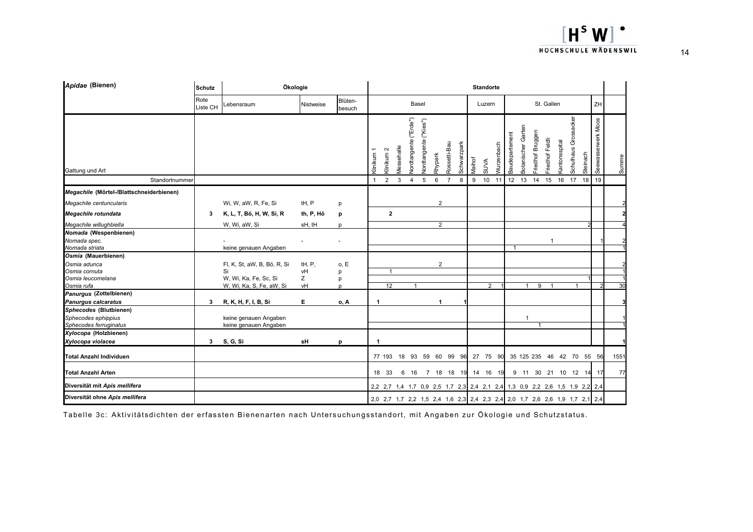| Apidae (Bienen)                                                                            | <b>Schutz</b>    | Ökologie                                                                               |                         |                     |                                                                             |                      |                              |                       |                |                                               |                  | <b>Standorte</b>  |                   |                      |                              |                                     |    |                                       |                     |                    |       |
|--------------------------------------------------------------------------------------------|------------------|----------------------------------------------------------------------------------------|-------------------------|---------------------|-----------------------------------------------------------------------------|----------------------|------------------------------|-----------------------|----------------|-----------------------------------------------|------------------|-------------------|-------------------|----------------------|------------------------------|-------------------------------------|----|---------------------------------------|---------------------|--------------------|-------|
|                                                                                            | Rote<br>Liste CH | _ebensraum                                                                             | Nistweise               | Blüten-<br>besuch   |                                                                             |                      | Basel                        |                       |                |                                               |                  | Luzern            |                   |                      |                              | St. Gallen                          |    |                                       |                     | ZH                 |       |
| Gattung und Art                                                                            |                  |                                                                                        |                         |                     | (linikum 1<br>Klinikum <sup>2</sup>                                         | <b>Aessehalle</b>    | <b>Vordtangente</b> ("Erde") | Vordtangente ("Kies") | Rhypark        | Schwarzpark<br>Rossetti-Bau<br>$\overline{7}$ | Vlaihof          | <b>SUVA</b><br>10 | <b>Nurzenbach</b> | Baudepartement<br>12 | Garten<br><b>Botanischer</b> | Friedhof Bruggen<br>Friedhof Feldli |    | Schulhaus Grossacker<br>cantonsspital | Steinach            | Seewasserwerk Moos | Summe |
| Standortnummer                                                                             |                  |                                                                                        |                         |                     | $\overline{2}$<br>$\mathbf{1}$                                              | $\mathbf{3}$         | $\overline{4}$               | 5                     | $\,6\,$        | 8                                             | $\boldsymbol{9}$ |                   | 11                |                      | 13                           | 14<br>15                            | 16 | 17                                    | 18                  | 19                 |       |
| Megachile (Mörtel-/Blattschneiderbienen)<br>Megachile centuncularis<br>Megachile rotundata |                  | Wi, W, aW, R, Fe, Si<br>K, L, T, Bö, H, W, Si, R                                       | tH, P                   | p                   |                                                                             |                      |                              |                       | $\overline{2}$ |                                               |                  |                   |                   |                      |                              |                                     |    |                                       |                     |                    |       |
| Megachile willughbiella                                                                    | 3                | W, Wi, aW, Si                                                                          | th, P, Hö<br>sH, tH     | p                   |                                                                             | $\overline{2}$       |                              |                       | $\overline{2}$ |                                               |                  |                   |                   |                      |                              |                                     |    |                                       |                     |                    |       |
| Nomada (Wespenbienen)<br>Nomada spec.<br>Nomada striata                                    |                  | keine genauen Angaben                                                                  |                         | D                   |                                                                             |                      |                              |                       |                |                                               |                  |                   |                   | $\overline{1}$       |                              |                                     |    |                                       |                     |                    |       |
| Osmia (Mauerbienen)<br>Osmia adunca<br>Osmia cornuta<br>Osmia leucomelana<br>Osmia rufa    |                  | Fl, K, St, aW, B, Bö, R, Si<br>Si<br>W, Wi, Ka, Fe, Sc, Si<br>W, Wi, Ka, S, Fe, aW, Si | tH, P,<br>vH<br>Z<br>vH | 0, E<br>p<br>p<br>D |                                                                             | 1<br>$\overline{12}$ |                              |                       | $\overline{2}$ |                                               |                  | $\overline{2}$    |                   |                      | $\mathbf{1}$                 | 9                                   |    |                                       | $\overline{1}$      |                    | 30    |
| Panurgus (Zottelbienen)<br><b>Panurgus calcaratus</b>                                      | 3                | R, K, H, F, I, B, Si                                                                   | Е                       | 0, A                | -1                                                                          |                      |                              |                       |                |                                               |                  |                   |                   |                      |                              |                                     |    |                                       |                     |                    |       |
| Sphecodes (Blutbienen)<br>Sphecodes ephippius<br>Sphecodes ferruginatus                    |                  | keine genauen Angaben<br>keine genauen Angaben                                         |                         |                     |                                                                             |                      |                              |                       |                |                                               |                  |                   |                   |                      | $\mathbf{1}$                 | $\mathbf{1}$                        |    |                                       |                     |                    |       |
| Xylocopa (Holzbienen)<br>Xylocopa violacea                                                 | 3                | S, G, Si                                                                               | sH                      | p                   | -1                                                                          |                      |                              |                       |                |                                               |                  |                   |                   |                      |                              |                                     |    |                                       |                     |                    |       |
| <b>Total Anzahl Individuen</b>                                                             |                  |                                                                                        |                         |                     | 77 193                                                                      |                      |                              |                       |                | 18 93 59 60 99 96                             |                  | 27 75 90          |                   |                      |                              | 35 125 235 46                       |    |                                       | 42 70 55 56         |                    | 1551  |
| <b>Total Anzahl Arten</b>                                                                  |                  |                                                                                        |                         |                     | 18 33                                                                       |                      |                              |                       |                | 6 16 7 18 18 19                               |                  | 14 16 19          |                   |                      |                              |                                     |    |                                       | 9 11 30 21 10 12 14 | 17                 | 77    |
| Diversität mit Apis mellifera                                                              |                  |                                                                                        |                         |                     | 2,2 2,7 1,4 1,7 0,9 2,5 1,7 2,3 2,4 2,1 2,4 1,3 0,9 2,2 2,6 1,5 1,9 2,2 2,4 |                      |                              |                       |                |                                               |                  |                   |                   |                      |                              |                                     |    |                                       |                     |                    |       |
| Diversität ohne Apis mellifera                                                             |                  |                                                                                        |                         |                     | 2,0 2,7 1,7 2,2 1,5 2,4 1,6 2,3 2,4 2,3 2,4 2,0 1,7 2,6 2,6 1,9 1,7 2,1 2,4 |                      |                              |                       |                |                                               |                  |                   |                   |                      |                              |                                     |    |                                       |                     |                    |       |

Tabelle 3c: Aktivitätsdichten der erfassten Bienenarten nach Untersuchungsstandort, mit Angaben zur Ökologie und Schutzstatus.

 $[H<sup>s</sup> W]$ . HOCHSCHULE WÄDENSWIL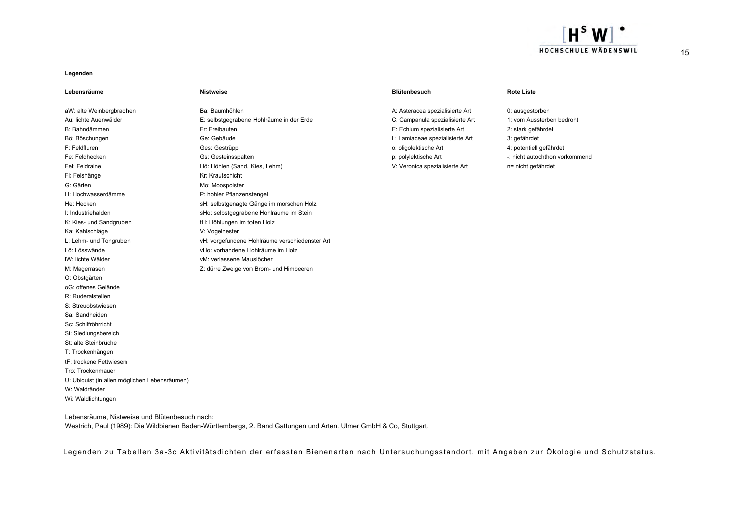

#### **Legenden**

| Lebensräume                                   | <b>Nistweise</b>                               | <b>Blütenbesuch</b>             | <b>Rote Liste</b>              |
|-----------------------------------------------|------------------------------------------------|---------------------------------|--------------------------------|
| aW: alte Weinbergbrachen                      | Ba: Baumhöhlen                                 | A: Asteracea spezialisierte Art | 0: ausgestorben                |
| Au: lichte Auenwälder                         | E: selbstgegrabene Hohlräume in der Erde       | C: Campanula spezialisierte Art | 1: vom Aussterben bedroht      |
| B: Bahndämmen                                 | Fr: Freibauten                                 | E: Echium spezialisierte Art    | 2: stark gefährdet             |
| Bö: Böschungen                                | Ge: Gebäude                                    | L: Lamiaceae spezialisierte Art | 3: gefährdet                   |
| F: Feldfluren                                 | Ges: Gestrüpp                                  | o: oligolektische Art           | 4: potentiell gefährdet        |
| Fe: Feldhecken                                | Gs: Gesteinsspalten                            | p: polylektische Art            | -: nicht autochthon vorkommend |
| Fel: Feldraine                                | Hö: Höhlen (Sand, Kies, Lehm)                  | V: Veronica spezialisierte Art  | n= nicht gefährdet             |
| Fl: Felshänge                                 | Kr: Krautschicht                               |                                 |                                |
| G: Gärten                                     | Mo: Moospolster                                |                                 |                                |
| H: Hochwasserdämme                            | P: hohler Pflanzenstengel                      |                                 |                                |
| He: Hecken                                    | sH: selbstgenagte Gänge im morschen Holz       |                                 |                                |
| I: Industriehalden                            | sHo: selbstgegrabene Hohlräume im Stein        |                                 |                                |
| K: Kies- und Sandgruben                       | tH: Höhlungen im toten Holz                    |                                 |                                |
| Ka: Kahlschläge                               | V: Vogelnester                                 |                                 |                                |
| L: Lehm- und Tongruben                        | vH: vorgefundene Hohlräume verschiedenster Art |                                 |                                |
| Lö: Lösswände                                 | vHo: vorhandene Hohlräume im Holz              |                                 |                                |
| IW: lichte Wälder                             | vM: verlassene Mauslöcher                      |                                 |                                |
| M: Magerrasen                                 | Z: dürre Zweige von Brom- und Himbeeren        |                                 |                                |
| O: Obstgärten                                 |                                                |                                 |                                |
| oG: offenes Gelände                           |                                                |                                 |                                |
| R: Ruderalstellen                             |                                                |                                 |                                |
| S: Streuobstwiesen                            |                                                |                                 |                                |
| Sa: Sandheiden                                |                                                |                                 |                                |
| Sc: Schilfröhrricht                           |                                                |                                 |                                |
| Si: Siedlungsbereich                          |                                                |                                 |                                |
| St: alte Steinbrüche                          |                                                |                                 |                                |
| T: Trockenhängen                              |                                                |                                 |                                |
| tF: trockene Fettwiesen                       |                                                |                                 |                                |
| Tro: Trockenmauer                             |                                                |                                 |                                |
| U: Ubiquist (in allen möglichen Lebensräumen) |                                                |                                 |                                |
| W: Waldränder                                 |                                                |                                 |                                |
| Wi: Waldlichtungen                            |                                                |                                 |                                |

Lebensräume, Nistweise und Blütenbesuch nach:

Westrich, Paul (1989): Die Wildbienen Baden-Württembergs, 2. Band Gattungen und Arten. Ulmer GmbH & Co, Stuttgart.

Legenden zu Tabellen 3a-3c Aktivitätsdichten der erfassten Bienenarten nach Untersuchungsstandort, mit Angaben zur Ökologie und Schutzstatus.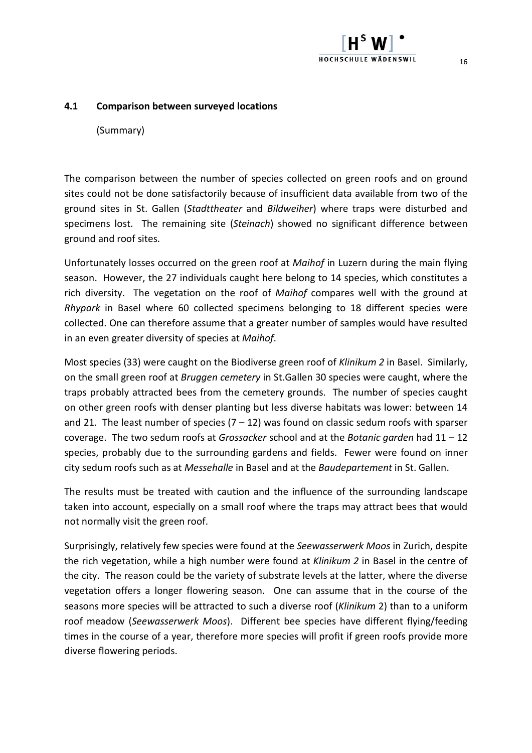#### **4.1 Comparison between surveyed locations**

(Summary)

The comparison between the number of species collected on green roofs and on ground sites could not be done satisfactorily because of insufficient data available from two of the ground sites in St. Gallen (*Stadttheater* and *Bildweiher*) where traps were disturbed and specimens lost. The remaining site (*Steinach*) showed no significant difference between ground and roof sites.

Unfortunately losses occurred on the green roof at *Maihof* in Luzern during the main flying season. However,
the 27 individuals caught here belong to 14 species,
which constitutes a rich diversity. The vegetation on the roof of *Maihof* compares well with the ground at *Rhypark* in Basel where 60 collected specimens belonging to 18 different species were collected. One can therefore assume that a greater number of samples would have resulted in an even greater diversity of species at *Maihof*.

Most species (33) were caught on the Biodiverse green roof of *Klinikum 2* in Basel. Similarly, on the small green roof at *Bruggen cemetery* in St.Gallen 30 species were caught,
where the traps probably attracted bees from the cemetery grounds. The number of species caught on other green roofs with denser planting but less diverse habitats was lower: between 14 and 21. The least number of species  $(7 - 12)$  was found on classic sedum roofs with sparser coverage. The two sedum roofs at *Grossacker* school and at the *Botanic garden* had 11 – 12 species,
probably due to the surrounding gardens and fields. Fewer were found on inner city sedum roofs such as at *Messehalle* in Basel and at the *Baudepartement* in St. Gallen.

The results must be treated with caution and the influence of the surrounding landscape taken into account,
especially on a small roof where the traps may attract bees that would not normally visit the green roof.

Surprisingly,
relatively few species were found at the *Seewasserwerk Moos* in Zurich,
despite the rich vegetation,
while a high number were found at *Klinikum 2* in Basel in the centre of the city. The reason could be the variety of substrate levels at the latter,
where the diverse vegetation offers a longer flowering season. One can assume that in the course of the seasons more species will be attracted to such a diverse roof (*Klinikum* 2) than to a uniform roof meadow (*Seewasserwerk Moos*). Different bee species have different flying/feeding times in the course of a year,
therefore more species will profit if green roofs provide more diverse flowering periods.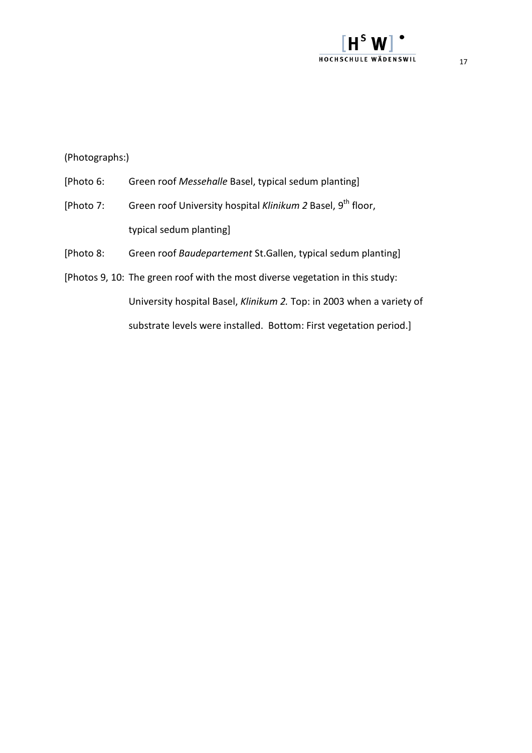### $H^{\text{s}}$ HOCHSCHULE WÄDENSWIL

(Photographs:)

- [Photo 6: Green roof *Messehalle* Basel, typical sedum planting]
- [Photo 7: Green roof University hospital *Klinikum* 2 Basel, 9<sup>th</sup> floor, typical sedum planting]
- [Photo 8: Green roof *Baudepartement* St.Gallen,
typical sedum planting]
- [Photos 9,
10: The green roof with the most diverse vegetation in this study: University hospital Basel, *Klinikum 2.* Top: in 2003 when a variety of substrate levels were installed. Bottom: First vegetation period.]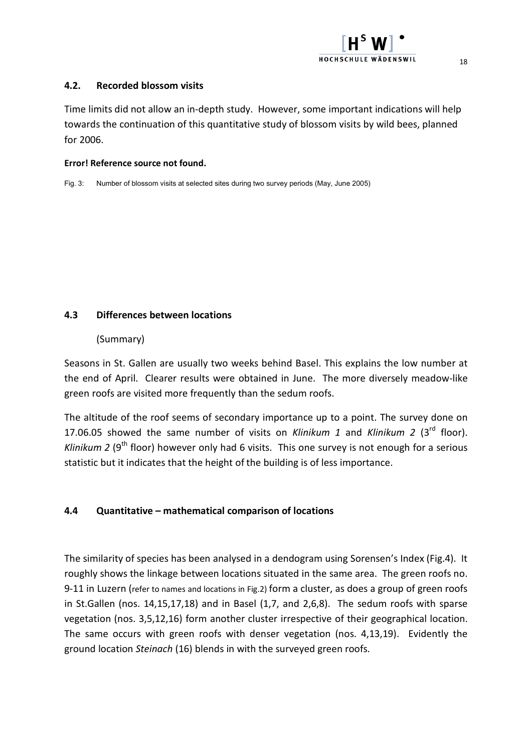# **HOCHSCHULE WÄDENSWIL**

#### **4.2. Recorded blossom visits**

Time limits did not allow an in‐depth study. However,
some important indications will help towards the continuation of this quantitative study of blossom visits by wild bees,
planned for 2006.

#### **Error! Reference source not found.**

Fig. 3: Number of blossom visits at selected sites during two survey periods (May, June 2005)

#### **4.3 Differences between locations**

#### (Summary)

Seasons in St. Gallen are usually two weeks behind Basel. This explains the low number at the end of April. Clearer results were obtained in June. The more diversely meadow‐like green roofs are visited more frequently than the sedum roofs.

The altitude of the roof seems of secondary importance up to a point. The survey done on 17.06.05 showed the same number of visits on *Klinikum 1* and *Klinikum 2* (3rd floor). *Klinikum* 2 (9<sup>th</sup> floor) however only had 6 visits. This one survey is not enough for a serious statistic but it indicates that the height of the building is of less importance.

#### **4.4 Quantitative – mathematical comparison of locations**

The similarity of species has been analysed in a dendogram using Sorensen's Index
(Fig.4). It roughly shows the linkage between locations situated in the same area. The green roofs no. 9‐11 in Luzern (refer to names and locations in Fig.2) form a cluster,
as does a group of green roofs in St.Gallen (nos. 14,15,17,18) and in Basel (1,7,
and 2,6,8). The sedum roofs with sparse vegetation (nos. 3,5,12,16) form another cluster irrespective of their geographical location. The same occurs with green roofs with denser vegetation (nos. 4,13,19). Evidently the ground location *Steinach* (16) blends in with the surveyed green roofs.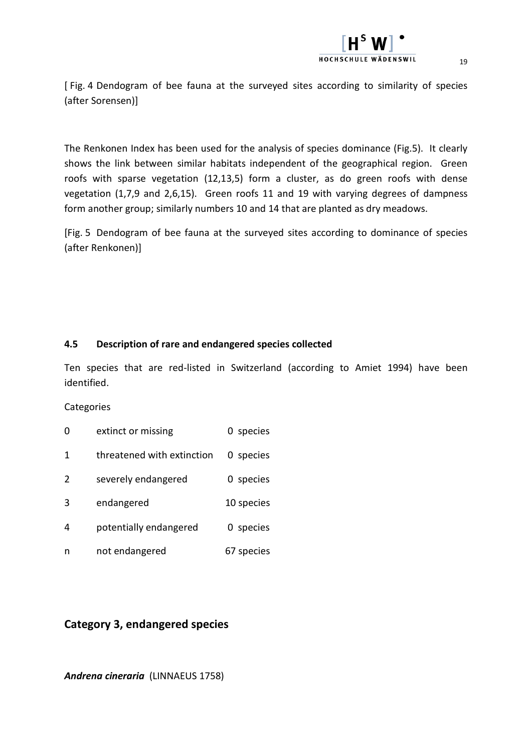[ Fig. 4 Dendogram of bee fauna at the surveyed sites according to similarity of species (after Sorensen)]

The Renkonen Index
has been used for the analysis of species dominance (Fig.5). It clearly shows the link between similar habitats independent of the geographical region. Green roofs with sparse vegetation (12,13,5) form a cluster, as do green roofs with dense vegetation (1,7,9 and 2,6,15). Green roofs 11 and 19 with varying degrees of dampness form another group; similarly numbers 10 and 14 that are planted as dry meadows.

[Fig. 5 Dendogram of bee fauna at the surveyed sites according to dominance of species (after Renkonen)]

#### **4.5 Description of rare and endangered species collected**

Ten species that are red‐listed in Switzerland (according to Amiet 1994) have been identified.

#### **Categories**

- 0 extinct or missing 0 species
- 1 threatened with extinction 0 species
- 2 severely endangered 0 species
- 3 endangered 10 species
- 4 potentially endangered 0 species
- n not endangered 67 species

#### **Category 3, endangered species**

*Andrena cineraria* (LINNAEUS 1758)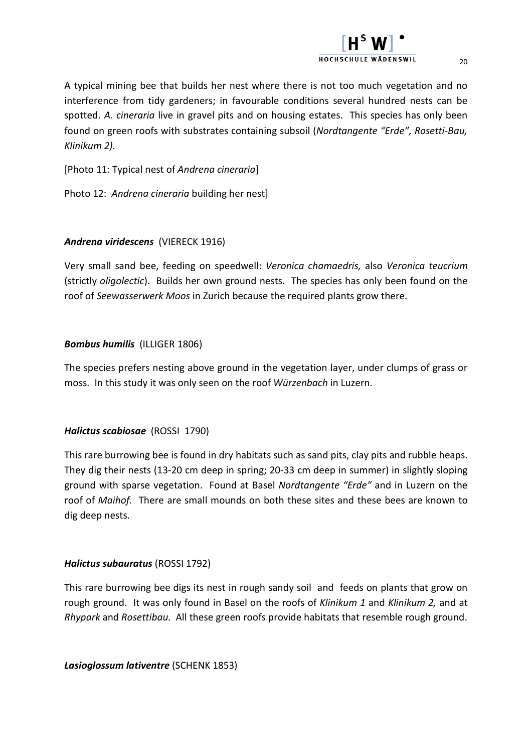## HOCHSCHILLE WÄDENSWIL

[Photo 11: Typical nest of *Andrena cineraria*]

Photo 12: *Andrena cineraria* building her nest]

#### *Andrena viridescens* (VIERECK 1916)

*Klinikum 2).*

Very small sand bee,
feeding on speedwell: *Veronica chamaedris,*  also *Veronica teucrium* (strictly *oligolectic*). Builds her own ground nests. The species has only been found on the roof of *Seewasserwerk Moos* in Zurich because the required plants grow there.

found on green roofs with substrates containing subsoil (*Nordtangente "Erde",
Rosetti‐Bau,*

#### *Bombus humilis* (ILLIGER 1806)

The species prefers nesting above ground in the vegetation layer,
under clumps of grass or moss. In this study it was only seen on the roof *Würzenbach* in Luzern.

#### *Halictus scabiosae* (ROSSI 1790)

This rare burrowing bee is found in dry habitats such as sand pits,
clay pits and rubble heaps. They dig their nests (13‐20 cm deep in spring; 20‐33 cm deep in summer) in slightly sloping ground with sparse vegetation. Found at Basel *Nordtangente "Erde"* and in Luzern on the roof of *Maihof.* There are small mounds on both these sites and these bees are known to dig deep nests.

#### *Halictus subauratus* (ROSSI 1792)

This rare burrowing bee digs its nest in rough sandy soil and feeds on plants that grow on rough ground. It was only found in Basel on the roofs of *Klinikum 1* and *Klinikum 2,* and at *Rhypark* and *Rosettibau.* All these green roofs provide habitats that resemble rough ground.

*Lasioglossum lativentre* (SCHENK 1853)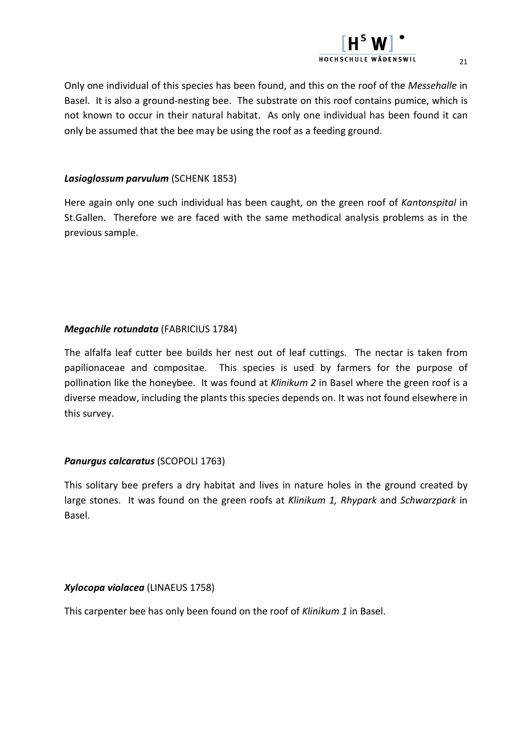## HOCHSCHILLE WÄDENSWIL

Only one individual of this species has been found,
and this on the roof of the *Messehalle* in Basel. It is also a ground‐nesting bee. The substrate on this roof contains pumice,
which is not known to occur in their natural habitat. As only one individual has been found it can only be assumed that the bee may be using the roof as a feeding ground.

#### *Lasioglossum parvulum* (SCHENK 1853)

Here again only one such individual has been caught,
on the green roof of *Kantonspital* in St.Gallen. Therefore we are faced with the same methodical analysis problems as in the previous sample.

#### *Megachile rotundata* (FABRICIUS 1784)

The alfalfa leaf cutter bee builds her nest out of leaf cuttings. The nectar is taken from papilionaceae and compositae. This species is used by farmers for the purpose of pollination like the honeybee. It was found at *Klinikum 2* in Basel where the green roof is a diverse meadow, including the plants this species depends on. It was not found elsewhere in this survey.

#### *Panurgus calcaratus* (SCOPOLI 1763)

This solitary bee prefers a dry habitat and lives in nature holes in the ground created by large stones. It was found on the green roofs at *Klinikum 1,
Rhypark* and *Schwarzpark* in Basel.

#### *Xylocopa violacea* (LINAEUS 1758)

This carpenter bee has only been found on the roof of *Klinikum 1* in Basel.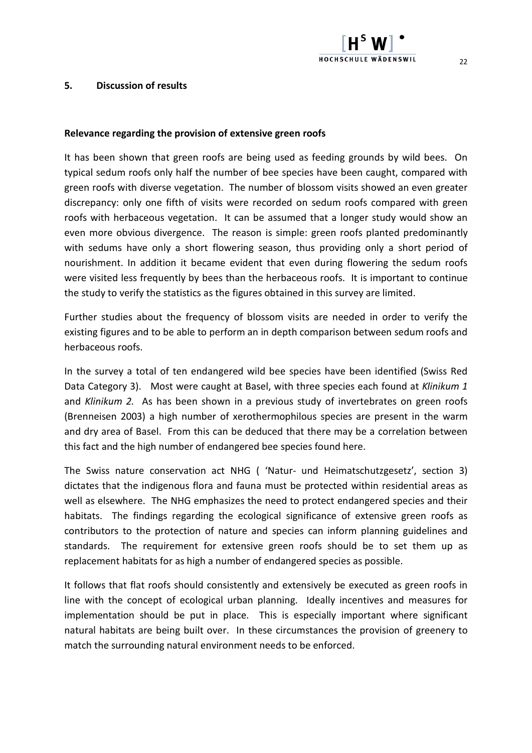#### **5. Discussion of results**

#### **Relevance regarding the provision of extensive green roofs**

It has been shown that green roofs are being used as feeding grounds by wild bees. On typical sedum roofs only half the number of bee species have been caught,
compared with green roofs with diverse vegetation. The number of blossom visits showed an even greater discrepancy: only one fifth of visits were recorded on sedum roofs compared with green roofs with herbaceous vegetation. It can be assumed that a longer study would show an even more obvious divergence. The reason is simple: green roofs planted predominantly with sedums have only a short flowering season, thus providing only a short period of nourishment. In addition it became evident that even during flowering the sedum roofs were visited less frequently by bees than the herbaceous roofs. It is important to continue the study to verify the statistics as the figures obtained in this survey are limited.

Further studies about the frequency of blossom visits are needed in order to verify the existing figures and to be able to perform an in depth comparison between sedum roofs and herbaceous roofs.

In the survey a total of ten endangered wild bee species have been identified (Swiss Red Data Category 3). Most were caught at Basel,
with three species each found at *Klinikum 1* and *Klinikum 2.* As has been shown in a previous study of invertebrates on green roofs (Brenneisen 2003) a high number of xerothermophilous species are present in the warm and dry area of Basel. From this can be deduced that there may be a correlation between this fact and the high number of endangered bee species found here.

The Swiss nature conservation act NHG ( 'Natur‐ und Heimatschutzgesetz', section 3) dictates that the indigenous flora and fauna must be protected within residential areas as well as elsewhere. The NHG emphasizes the need to protect endangered species and their habitats. The findings regarding the ecological significance of extensive green roofs as contributors to the protection of nature and species can inform planning guidelines and standards. The requirement for extensive green roofs should be to set them up as replacement habitats for as high a number of endangered species as possible.

It follows that flat roofs should consistently and extensively be executed as green roofs in line with the concept of ecological urban planning. Ideally incentives and measures for implementation should be put in place. This is especially important where significant natural habitats are being built over. In these circumstances the provision of greenery to match the surrounding natural environment needs to be enforced.